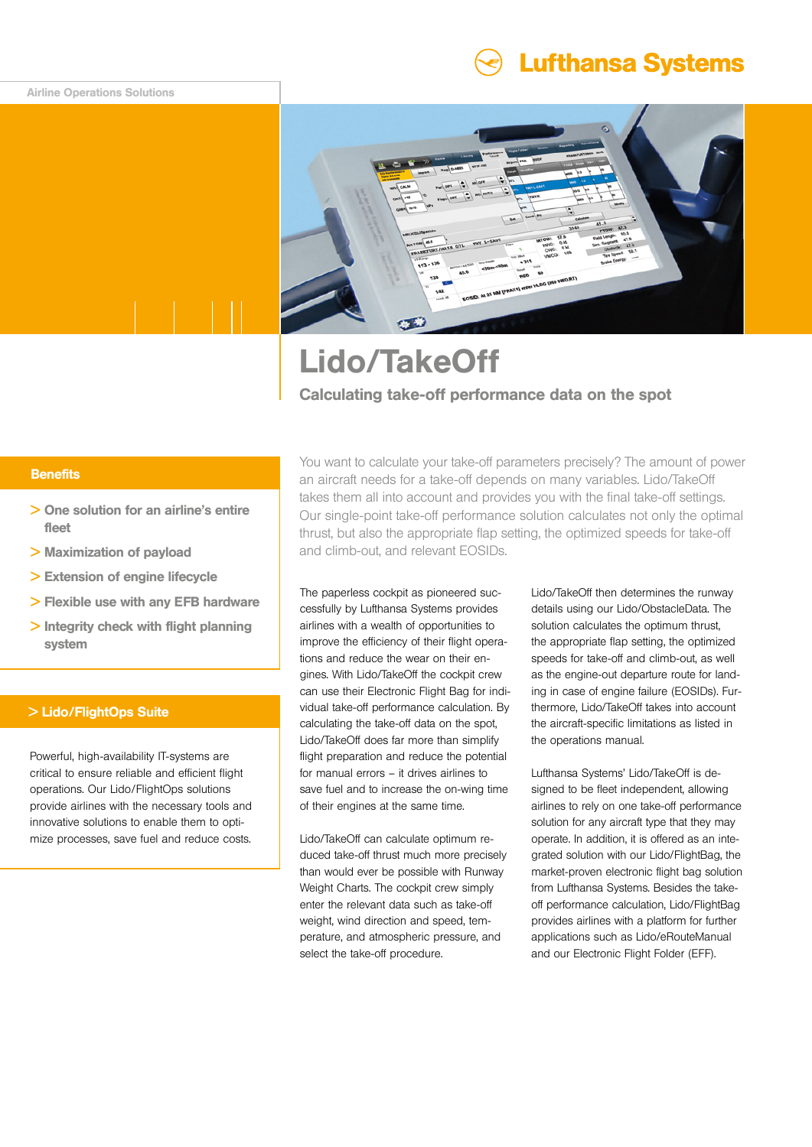## Airline Operations Solutions

# **Lufthansa Systems**



# Lido/TakeOff Calculating take-off performance data on the spot

# **Benefits**

- > One solution for an airline's entire fleet
- > Maximization of payload
- > Extension of engine lifecycle
- > Flexible use with any EFB hardware
- > Integrity check with flight planning system

#### > Lido/FlightOps Suite

Powerful, high-availability IT-systems are critical to ensure reliable and efficient flight operations. Our Lido/FlightOps solutions provide airlines with the necessary tools and innovative solutions to enable them to optimize processes, save fuel and reduce costs.

You want to calculate your take-off parameters precisely? The amount of power an aircraft needs for a take-off depends on many variables. Lido/TakeOff takes them all into account and provides you with the final take-off settings. Our single-point take-off performance solution calculates not only the optimal thrust, but also the appropriate flap setting, the optimized speeds for take-off and climb-out, and relevant EOSIDs.

The paperless cockpit as pioneered successfully by Lufthansa Systems provides airlines with a wealth of opportunities to improve the efficiency of their flight operations and reduce the wear on their engines. With Lido/TakeOff the cockpit crew can use their Electronic Flight Bag for individual take-off performance calculation. By calculating the take-off data on the spot, Lido/TakeOff does far more than simplify flight preparation and reduce the potential for manual errors – it drives airlines to save fuel and to increase the on-wing time of their engines at the same time.

Lido/TakeOff can calculate optimum reduced take-off thrust much more precisely than would ever be possible with Runway Weight Charts. The cockpit crew simply enter the relevant data such as take-off weight, wind direction and speed, temperature, and atmospheric pressure, and select the take-off procedure.

Lido/TakeOff then determines the runway details using our Lido/ObstacleData. The solution calculates the optimum thrust, the appropriate flap setting, the optimized speeds for take-off and climb-out, as well as the engine-out departure route for landing in case of engine failure (EOSIDs). Furthermore, Lido/TakeOff takes into account the aircraft-specific limitations as listed in the operations manual.

Lufthansa Systems' Lido/TakeOff is designed to be fleet independent, allowing airlines to rely on one take-off performance solution for any aircraft type that they may operate. In addition, it is offered as an integrated solution with our Lido/FlightBag, the market-proven electronic flight bag solution from Lufthansa Systems. Besides the takeoff performance calculation, Lido/FlightBag provides airlines with a platform for further applications such as Lido/eRouteManual and our Electronic Flight Folder (EFF).